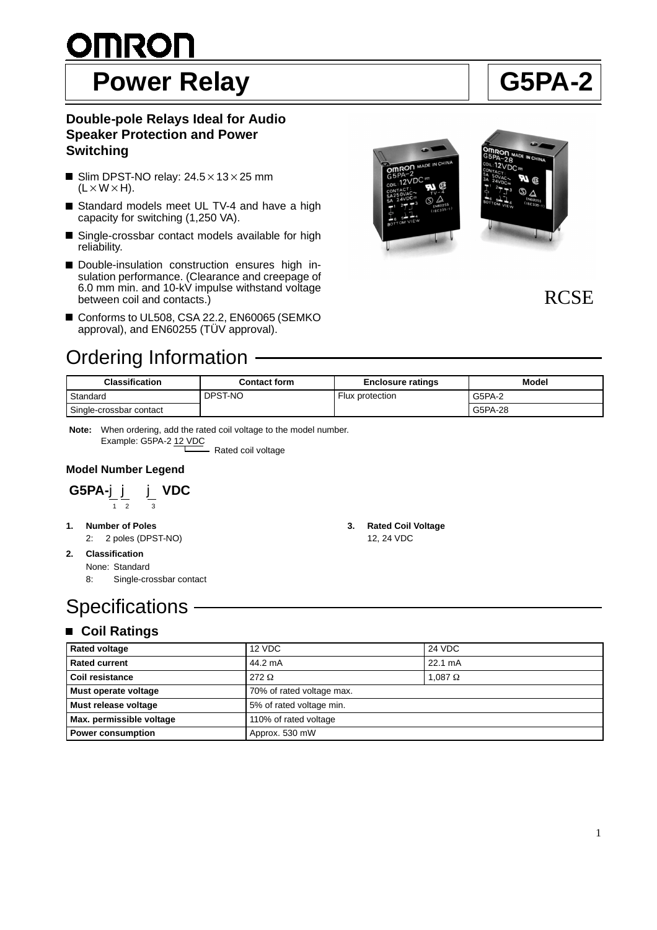# <u>OMRON</u> Power Relay **Relay Relay Relay Relay Relay Relay Relations** AU G5PA-2

#### **Double-pole Relays Ideal for Audio Speaker Protection and Power Switching**

- Slim DPST-NO relay:  $24.5 \times 13 \times 25$  mm  $(L \times W \times H)$ .
- Standard models meet UL TV-4 and have a high capacity for switching (1,250 VA).
- Single-crossbar contact models available for high reliability.
- Double-insulation construction ensures high insulation performance. (Clearance and creepage of 6.0 mm min. and 10-kV impulse withstand voltage between coil and contacts.)
- Conforms to UL508, CSA 22.2, EN60065 (SEMKO approval), and EN60255 (TÜV approval).

### Ordering Information





| Classification          | <b>Contact form</b> | <b>Enclosure ratings</b> | <b>Model</b> |
|-------------------------|---------------------|--------------------------|--------------|
| Standard                | DPST-NO             | Flux protection          | G5PA-2       |
| Single-crossbar contact |                     |                          | G5PA-28      |

Rated coil voltage **Note:** When ordering, add the rated coil voltage to the model number. Example: G5PA-2 12 VDC

#### **Model Number Legend**

**G5PA-**jj j **VDC** 12 3

- **1. Number of Poles**
- 2: 2 poles (DPST-NO)
- **2. Classification** None: Standard
	- 8: Single-crossbar contact
- 

## **Specifications**

### **Coil Ratings**

| <b>Rated voltage</b>     | 12 VDC                    | 24 VDC         |
|--------------------------|---------------------------|----------------|
| <b>Rated current</b>     | 44.2 mA                   | 22.1 mA        |
| Coil resistance          | 272 $\Omega$              | 1,087 $\Omega$ |
| Must operate voltage     | 70% of rated voltage max. |                |
| Must release voltage     | 5% of rated voltage min.  |                |
| Max. permissible voltage | 110% of rated voltage     |                |
| <b>Power consumption</b> | Approx. 530 mW            |                |

- **3. Rated Coil Voltage**
	- 12, 24 VDC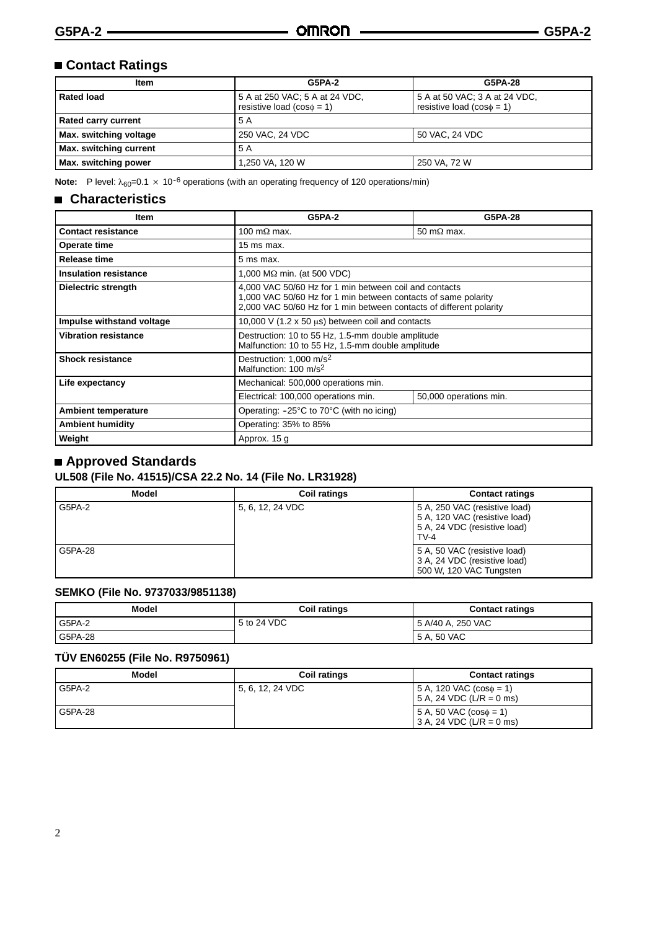#### **Contact Ratings**

| <b>Item</b>                | <b>G5PA-2</b>                                                    | G5PA-28                                                         |
|----------------------------|------------------------------------------------------------------|-----------------------------------------------------------------|
| <b>Rated load</b>          | 5 A at 250 VAC; 5 A at 24 VDC,<br>resistive load $(cos\phi = 1)$ | 5 A at 50 VAC; 3 A at 24 VDC,<br>resistive load $(cos\phi = 1)$ |
| <b>Rated carry current</b> | 5 A                                                              |                                                                 |
| Max. switching voltage     | 250 VAC, 24 VDC                                                  | 50 VAC, 24 VDC                                                  |
| Max. switching current     | 5 A                                                              |                                                                 |
| Max. switching power       | l,250 VA, 120 W                                                  | 250 VA, 72 W                                                    |

**Note:** P level:  $\lambda_{60} = 0.1 \times 10^{-6}$  operations (with an operating frequency of 120 operations/min)

#### **Characteristics**

| ltem                         | <b>G5PA-2</b>                                                                                                                                                                                   | G5PA-28                |
|------------------------------|-------------------------------------------------------------------------------------------------------------------------------------------------------------------------------------------------|------------------------|
| <b>Contact resistance</b>    | 100 m $\Omega$ max.                                                                                                                                                                             | 50 m $\Omega$ max.     |
| Operate time                 | $15$ ms max.                                                                                                                                                                                    |                        |
| Release time                 | 5 ms max.                                                                                                                                                                                       |                        |
| <b>Insulation resistance</b> | $1,000$ M $\Omega$ min. (at 500 VDC)                                                                                                                                                            |                        |
| Dielectric strength          | 4,000 VAC 50/60 Hz for 1 min between coil and contacts<br>1,000 VAC 50/60 Hz for 1 min between contacts of same polarity<br>2,000 VAC 50/60 Hz for 1 min between contacts of different polarity |                        |
| Impulse withstand voltage    | 10,000 V (1.2 x 50 $\mu$ s) between coil and contacts                                                                                                                                           |                        |
| Vibration resistance         | Destruction: 10 to 55 Hz, 1.5-mm double amplitude<br>Malfunction: 10 to 55 Hz, 1.5-mm double amplitude                                                                                          |                        |
| <b>Shock resistance</b>      | Destruction: 1,000 m/s <sup>2</sup><br>Malfunction: 100 m/s <sup>2</sup>                                                                                                                        |                        |
| Life expectancy              | Mechanical: 500,000 operations min.                                                                                                                                                             |                        |
|                              | Electrical: 100,000 operations min.                                                                                                                                                             | 50,000 operations min. |
| <b>Ambient temperature</b>   | Operating: $-25^{\circ}$ C to 70 $^{\circ}$ C (with no icing)                                                                                                                                   |                        |
| <b>Ambient humidity</b>      | Operating: 35% to 85%                                                                                                                                                                           |                        |
| Weight                       | Approx. 15 g                                                                                                                                                                                    |                        |

#### **Approved Standards**

#### **UL508 (File No. 41515)/CSA 22.2 No. 14 (File No. LR31928)**

| Model   | <b>Coil ratings</b> | <b>Contact ratings</b>                                                                                 |
|---------|---------------------|--------------------------------------------------------------------------------------------------------|
| G5PA-2  | 5, 6, 12, 24 VDC    | 5 A, 250 VAC (resistive load)<br>5 A, 120 VAC (resistive load)<br>5 A, 24 VDC (resistive load)<br>TV-4 |
| G5PA-28 |                     | 5 A, 50 VAC (resistive load)<br>3 A, 24 VDC (resistive load)<br>500 W, 120 VAC Tungsten                |

#### **SEMKO (File No. 9737033/9851138)**

| Model   | <b>Coil ratings</b> | <b>Contact ratings</b> |
|---------|---------------------|------------------------|
| G5PA-2  | 5 to 24 VDC         | 5 A/40 A, 250 VAC      |
| G5PA-28 |                     | 5 A, 50 VAC            |

#### **TÜV EN60255 (File No. R9750961)**

| Model   | <b>Coil ratings</b> | <b>Contact ratings</b>                                       |
|---------|---------------------|--------------------------------------------------------------|
| G5PA-2  | 15, 6, 12, 24 VDC   | 5 A, 120 VAC $(cos \phi = 1)$<br>$5 A$ , 24 VDC (L/R = 0 ms) |
| G5PA-28 |                     | $5 A, 50 VAC (cos\phi = 1)$<br>$3 A$ , 24 VDC (L/R = 0 ms)   |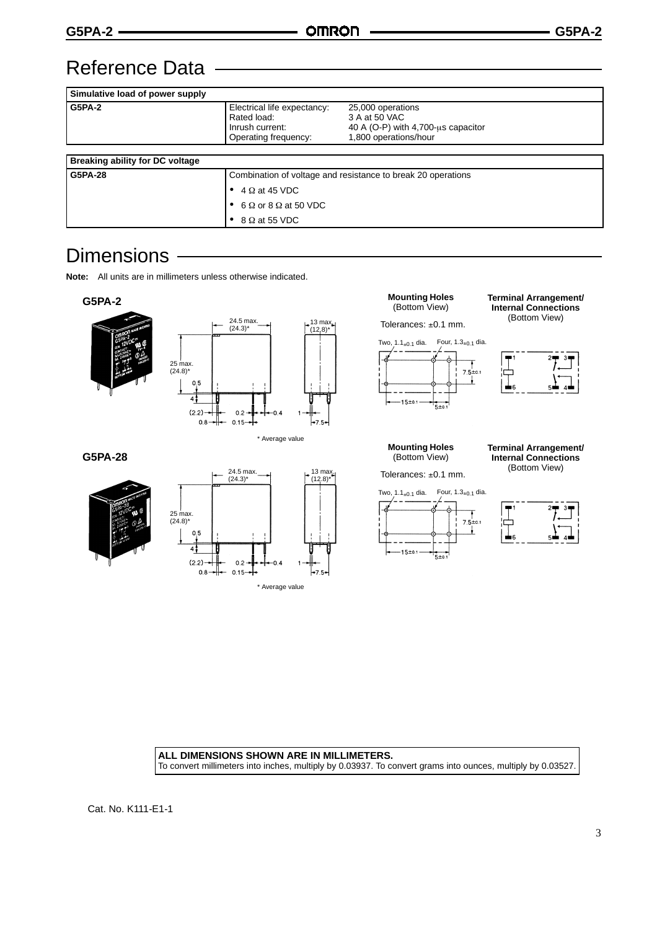### Reference Data

| Simulative load of power supply        |                                                                                       |                                                                                                   |
|----------------------------------------|---------------------------------------------------------------------------------------|---------------------------------------------------------------------------------------------------|
| <b>G5PA-2</b>                          | Electrical life expectancy:<br>Rated load:<br>Inrush current:<br>Operating frequency: | 25,000 operations<br>3 A at 50 VAC<br>40 A (O-P) with 4,700-us capacitor<br>1,800 operations/hour |
|                                        |                                                                                       |                                                                                                   |
| <b>Breaking ability for DC voltage</b> |                                                                                       |                                                                                                   |
| G5PA-28                                | Combination of voltage and resistance to break 20 operations                          |                                                                                                   |
|                                        | $4 \Omega$ at 45 VDC                                                                  |                                                                                                   |
|                                        | $6 \Omega$ or 8 $\Omega$ at 50 VDC                                                    |                                                                                                   |
|                                        | $8 \Omega$ at 55 VDC                                                                  |                                                                                                   |

### **Dimensions**

**Note:** All units are in millimeters unless otherwise indicated.



**ALL DIMENSIONS SHOWN ARE IN MILLIMETERS.** To convert millimeters into inches, multiply by 0.03937. To convert grams into ounces, multiply by 0.03527.

Cat. No. K111-E1-1